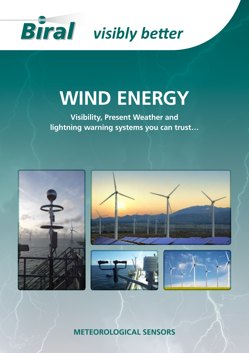

# **WIND ENERGY**

**Visibility, Present Weather and lightning warning systems you can trust…**



**METEOROLOGICAL SENSORS**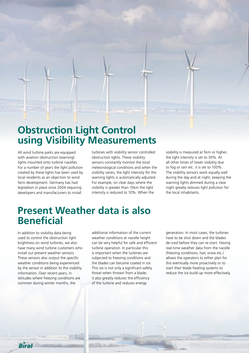

All wind turbine parks are equipped with aviation obstruction (warning) lights mounted onto turbine nacelles. For a number of years the light pollution created by these lights has been used by local residents as an objection to wind farm development. Germany has had legislation in place since 2004 requiring developers and manufacturers to install

turbines with visibility sensor controlled obstruction lights. These visibility sensors constantly monitor the local meteorological conditions and when the visibility varies, the light intensity for the warning lights is automatically adjusted. For example, on clear days where the visibility is greater than 10km the light intensity is reduced to 10%. When the

visibility is measured at 5km or higher, the light intensity is set to 30%. At all other times of lower visibility due to fog or rain etc. it is set to 100%. The visibility sensors work equally well during the day and at night, keeping the warning lights dimmed during a clear night greatly reduces light pollution for the local inhabitants.

### **Present Weather data is also Beneficial**

In addition to visibility data being used to control the obstruction light brightness on wind turbines, we also have many wind turbine customers who install our present weather sensors. These sensors also output the specific weather conditions being experienced by the sensor in addition to the visibility information. Over recent years, in latitudes where freezing conditions are common during winter months, the

additional information of the current weather conditions at nacelle height can be very helpful for safe and efficient turbine operation. In particular this is important when the turbines are subjected to freezing conditions and the blades can become coated in ice. This ice is not only a significant safety threat when thrown from a blade; it also greatly reduces the efficiency of the turbine and reduces energy

generation. In most cases, the turbines have to be shut down and the blades de-iced before they can re-start. Having real-time weather data from the nacelle (freezing conditions, hail, snow etc.) allows the operators to either plan for this eventually more proactively or to start their blade heating systems to reduce the ice build-up more effectively.

Biral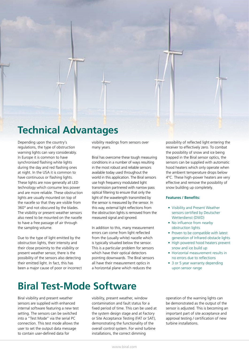

### **Technical Advantages**

Depending upon the country's regulations, the type of obstruction warning lights can vary considerably. In Europe it is common to have synchronised flashing white lights during the day and red flashing ones at night. In the USA it is common to have continuous or flashing lights. These lights are now generally all LED technology which consume less power and are more reliable. These obstruction lights are usually mounted on top of the nacelle so that they are visible from 360° and not obscured by the blades. The visibility or present weather sensors also need to be mounted on the nacelle to have a free passage of air through the sampling volume.

Due to the type of light emitted by the obstruction lights, their intensity and their close proximity to the visibility or present weather sensor, there is the possibility of the sensors also detecting their emitted light. In fact, this has been a major cause of poor or incorrect visibility readings from sensors over many years.

Biral has overcome these tough measuring conditions in a number of ways resulting in the most robust and reliable sensors available today used throughout the world in this application. The Biral sensors use high frequency modulated light transmission partnered with narrow pass optical filtering to ensure that only the light of the wavelength transmitted by the sensor is measured by the sensor. In this way, external light reflections from the obstruction lights is removed from the measured signal and ignored.

In addition to this, many measurement errors can come from light reflected from the (usually white) nacelle which is typically situated below the sensor. This is a particular problem for sensors which have their optical detectors pointing downwards. The Biral sensors all have their measurement optics in a horizontal plane which reduces the

possibility of reflected light entering the receiver to effectively zero. To combat the possibility of snow and ice being trapped in the Biral sensor optics, the sensors can be supplied with automatic hood heaters which only operate when the ambient temperature drops below 4°C. These high-power heaters are very effective and remove the possibility of snow building up completely.

#### **Features / Benefits:**

- Visibility and Present Weather sensors certified by Deutscher Wetterdienst (DWD)
- No influence from nearby obstruction lights
- Proven to be compatible with latest generation of Infrared obstacle lights
- High powered hood heaters prevent snow and ice build up
- Horizontal measurement results in no errors due to reflections
- 3 or 5 year warranty depending upon sensor range

### **Biral Test-Mode Software**

Biral visibility and present weather sensors are supplied with enhanced internal software featuring a new test setting. The sensors can be switched into a "Test Mode" via the serial PC connection. This test mode allows the user to set the output data message to contain user-defined data for

visibility, present weather, window contamination and fault status for a fixed period of time. This can be used at the system design stage and at Factory or Site Acceptance Testing (FAT or SAT), demonstrating the functionality of the overall control system. For wind turbine installations, the correct dimming

operation of the warning lights can be demonstrated as the output of the sensor is adjusted. This is becoming an important part of site acceptance and approval testing / certification of new turbine installations.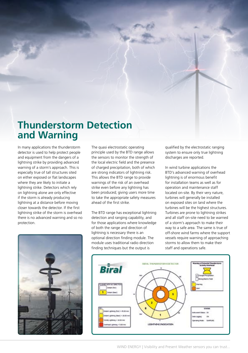### **Thunderstorm Detection and Warning**

In many applications the thunderstorm detector is used to help protect people and equipment from the dangers of a lightning strike by providing advanced warning of a storm's approach. This is especially true of tall structures sited on either exposed or flat landscapes where they are likely to initiate a lightning strike. Detectors which rely on lightning alone are only effective if the storm is already producing lightning at a distance before moving closer towards the detector. If the first lightning strike of the storm is overhead there is no advanced warning and so no protection.



The quasi electrostatic operating principle used by the BTD range allows the sensors to monitor the strength of the local electric field and the presence of charged precipitation, both of which are strong indicators of lightning risk. This allows the BTD range to provide warnings of the risk of an overhead strike even before any lightning has been produced; giving users more time to take the appropriate safety measures ahead of the first strike.

The BTD range has exceptional lightning detection and ranging capability, and for those applications where knowledge of both the range and direction of lightning is necessary there is an optional direction finding module. The module uses traditional radio direction finding techniques but the output is

qualified by the electrostatic ranging system to ensure only true lightning discharges are reported.

In wind turbine applications the BTD's advanced warning of overhead lightning is of enormous benefit for installation teams as well as for operation and maintenance staff located on-site. By their very nature, turbines will generally be installed on exposed sites on land where the turbines will be the highest structures. Turbines are prone to lightning strikes and all staff on-site need to be warned of a storm's approach to make their way to a safe area. The same is true of off-shore wind farms where the support vessels require warning of approaching storms to allow them to make their staff and operations safe.



WIND ENERGY | Visibility and Present Weather sensors you can trust...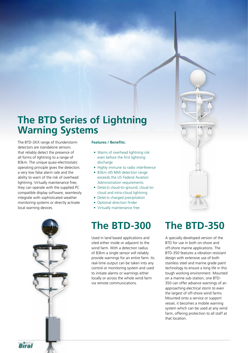### **The BTD Series of Lightning Warning Systems**

The BTD-3XX range of thunderstorm detectors are standalone sensors that reliably detect the presence of all forms of lightning to a range of 83km. The unique quasi-electrostatic operating principle gives the detectors a very low false alarm rate and the ability to warn of the risk of overhead lightning. Virtually maintenance free, they can operate with the supplied PC compatible display software, seamlessly integrate with sophisticated weather monitoring systems or directly activate local warning devices.

#### **Features / Benefits:**

- Warns of overhead lightning risk even before the first lightning discharge
- Highly immune to radio interference
- 83km (45 NM) detection range exceeds the US Federal Aviation Administration requirements
- Detects cloud-to-ground, cloud-tocloud and intra-cloud lightning
- Detects charged precipitation
- Optional direction finder
- Virtually maintenance free

Used in land based applications and sited either inside or adjacent to the wind farm. With a detection radius of 83km a single sensor will reliably provide warnings for an entire farm. Its real-time output can be taken into any control or monitoring system and used to initiate alarms or warnings either locally or across the whole wind farm via remote communications.

### **The BTD-300 The BTD-350**

A specially developed version of the BTD for use in both on-shore and off-shore marine applications. The BTD-350 features a vibration resistant design with extensive use of both stainless steel and marine grade paint technology to ensure a long life in this tough working environment. Mounted on a marine sub-station, one BTD-350 can offer advance warnings of an approaching electrical storm to even the largest of off-shore wind farms. Mounted onto a service or support vessel, it becomes a mobile warning system which can be used at any wind farm, offering protection to all staff at that location.